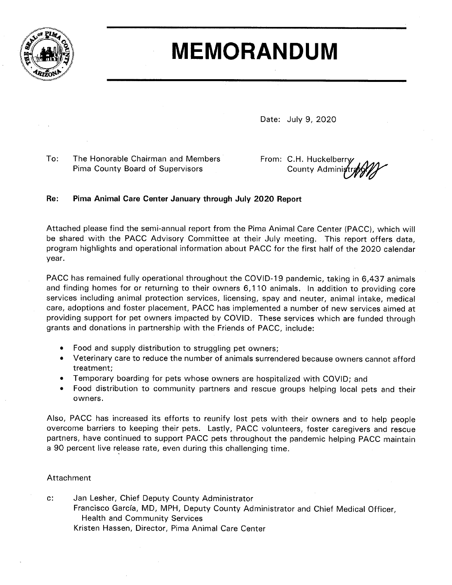

## **MEMORANDUM**

Date: July 9, 2020

 $To:$ The Honorable Chairman and Members **Pima County Board of Supervisors** 

From: C.H. Huckelberry County Admini

## Re: Pima Animal Care Center January through July 2020 Report

Attached please find the semi-annual report from the Pima Animal Care Center (PACC), which will be shared with the PACC Advisory Committee at their July meeting. This report offers data, program highlights and operational information about PACC for the first half of the 2020 calendar year.

PACC has remained fully operational throughout the COVID-19 pandemic, taking in 6,437 animals and finding homes for or returning to their owners 6,110 animals. In addition to providing core services including animal protection services, licensing, spay and neuter, animal intake, medical care, adoptions and foster placement, PACC has implemented a number of new services aimed at providing support for pet owners impacted by COVID. These services which are funded through grants and donations in partnership with the Friends of PACC, include:

- $\bullet$ Food and supply distribution to struggling pet owners;
- Veterinary care to reduce the number of animals surrendered because owners cannot afford  $\bullet$ treatment;
- Temporary boarding for pets whose owners are hospitalized with COVID; and
- Food distribution to community partners and rescue groups helping local pets and their owners.

Also, PACC has increased its efforts to reunify lost pets with their owners and to help people overcome barriers to keeping their pets. Lastly, PACC volunteers, foster caregivers and rescue partners, have continued to support PACC pets throughout the pandemic helping PACC maintain a 90 percent live release rate, even during this challenging time.

## Attachment

 $C$ : Jan Lesher, Chief Deputy County Administrator Francisco García, MD, MPH, Deputy County Administrator and Chief Medical Officer, **Health and Community Services** Kristen Hassen, Director, Pima Animal Care Center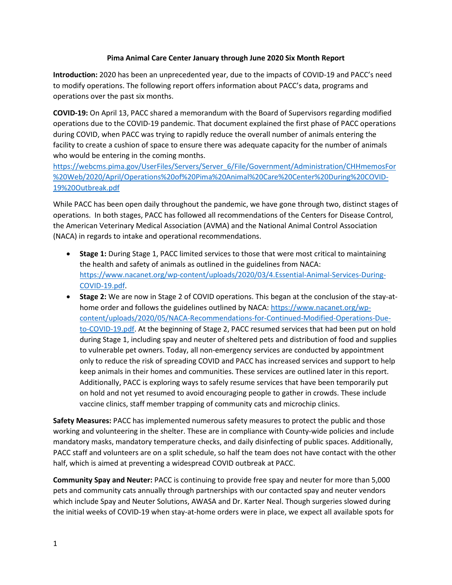## **Pima Animal Care Center January through June 2020 Six Month Report**

**Introduction:** 2020 has been an unprecedented year, due to the impacts of COVID-19 and PACC's need to modify operations. The following report offers information about PACC's data, programs and operations over the past six months.

**COVID-19:** On April 13, PACC shared a memorandum with the Board of Supervisors regarding modified operations due to the COVID-19 pandemic. That document explained the first phase of PACC operations during COVID, when PACC was trying to rapidly reduce the overall number of animals entering the facility to create a cushion of space to ensure there was adequate capacity for the number of animals who would be entering in the coming months.

[https://webcms.pima.gov/UserFiles/Servers/Server\\_6/File/Government/Administration/CHHmemosFor](https://webcms.pima.gov/UserFiles/Servers/Server_6/File/Government/Administration/CHHmemosFor%20Web/2020/April/Operations%20of%20Pima%20Animal%20Care%20Center%20During%20COVID-19%20Outbreak.pdf) [%20Web/2020/April/Operations%20of%20Pima%20Animal%20Care%20Center%20During%20COVID-](https://webcms.pima.gov/UserFiles/Servers/Server_6/File/Government/Administration/CHHmemosFor%20Web/2020/April/Operations%20of%20Pima%20Animal%20Care%20Center%20During%20COVID-19%20Outbreak.pdf)[19%20Outbreak.pdf](https://webcms.pima.gov/UserFiles/Servers/Server_6/File/Government/Administration/CHHmemosFor%20Web/2020/April/Operations%20of%20Pima%20Animal%20Care%20Center%20During%20COVID-19%20Outbreak.pdf)

While PACC has been open daily throughout the pandemic, we have gone through two, distinct stages of operations. In both stages, PACC has followed all recommendations of the Centers for Disease Control, the American Veterinary Medical Association (AVMA) and the National Animal Control Association (NACA) in regards to intake and operational recommendations.

- **Stage 1:** During Stage 1, PACC limited services to those that were most critical to maintaining the health and safety of animals as outlined in the guidelines from NACA: [https://www.nacanet.org/wp-content/uploads/2020/03/4.Essential-Animal-Services-During-](https://www.nacanet.org/wp-content/uploads/2020/03/4.Essential-Animal-Services-During-COVID-19.pdf)[COVID-19.pdf.](https://www.nacanet.org/wp-content/uploads/2020/03/4.Essential-Animal-Services-During-COVID-19.pdf)
- **Stage 2:** We are now in Stage 2 of COVID operations. This began at the conclusion of the stay-athome order and follows the guidelines outlined by NACA: [https://www.nacanet.org/wp](https://www.nacanet.org/wp-content/uploads/2020/05/NACA-Recommendations-for-Continued-Modified-Operations-Due-to-COVID-19.pdf)[content/uploads/2020/05/NACA-Recommendations-for-Continued-Modified-Operations-Due](https://www.nacanet.org/wp-content/uploads/2020/05/NACA-Recommendations-for-Continued-Modified-Operations-Due-to-COVID-19.pdf)[to-COVID-19.pdf.](https://www.nacanet.org/wp-content/uploads/2020/05/NACA-Recommendations-for-Continued-Modified-Operations-Due-to-COVID-19.pdf) At the beginning of Stage 2, PACC resumed services that had been put on hold during Stage 1, including spay and neuter of sheltered pets and distribution of food and supplies to vulnerable pet owners. Today, all non-emergency services are conducted by appointment only to reduce the risk of spreading COVID and PACC has increased services and support to help keep animals in their homes and communities. These services are outlined later in this report. Additionally, PACC is exploring ways to safely resume services that have been temporarily put on hold and not yet resumed to avoid encouraging people to gather in crowds. These include vaccine clinics, staff member trapping of community cats and microchip clinics.

**Safety Measures:** PACC has implemented numerous safety measures to protect the public and those working and volunteering in the shelter. These are in compliance with County-wide policies and include mandatory masks, mandatory temperature checks, and daily disinfecting of public spaces. Additionally, PACC staff and volunteers are on a split schedule, so half the team does not have contact with the other half, which is aimed at preventing a widespread COVID outbreak at PACC.

**Community Spay and Neuter:** PACC is continuing to provide free spay and neuter for more than 5,000 pets and community cats annually through partnerships with our contacted spay and neuter vendors which include Spay and Neuter Solutions, AWASA and Dr. Karter Neal. Though surgeries slowed during the initial weeks of COVID-19 when stay-at-home orders were in place, we expect all available spots for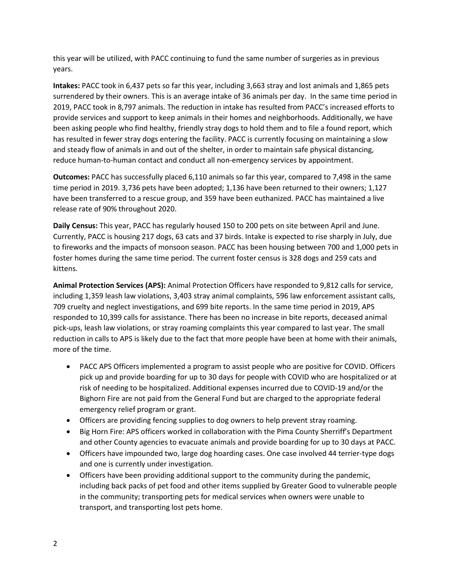this year will be utilized, with PACC continuing to fund the same number of surgeries as in previous years.

**Intakes:** PACC took in 6,437 pets so far this year, including 3,663 stray and lost animals and 1,865 pets surrendered by their owners. This is an average intake of 36 animals per day. In the same time period in 2019, PACC took in 8,797 animals. The reduction in intake has resulted from PACC's increased efforts to provide services and support to keep animals in their homes and neighborhoods. Additionally, we have been asking people who find healthy, friendly stray dogs to hold them and to file a found report, which has resulted in fewer stray dogs entering the facility. PACC is currently focusing on maintaining a slow and steady flow of animals in and out of the shelter, in order to maintain safe physical distancing, reduce human-to-human contact and conduct all non-emergency services by appointment.

**Outcomes:** PACC has successfully placed 6,110 animals so far this year, compared to 7,498 in the same time period in 2019. 3,736 pets have been adopted; 1,136 have been returned to their owners; 1,127 have been transferred to a rescue group, and 359 have been euthanized. PACC has maintained a live release rate of 90% throughout 2020.

**Daily Census:** This year, PACC has regularly housed 150 to 200 pets on site between April and June. Currently, PACC is housing 217 dogs, 63 cats and 37 birds. Intake is expected to rise sharply in July, due to fireworks and the impacts of monsoon season. PACC has been housing between 700 and 1,000 pets in foster homes during the same time period. The current foster census is 328 dogs and 259 cats and kittens.

**Animal Protection Services (APS):** Animal Protection Officers have responded to 9,812 calls for service, including 1,359 leash law violations, 3,403 stray animal complaints, 596 law enforcement assistant calls, 709 cruelty and neglect investigations, and 699 bite reports. In the same time period in 2019, APS responded to 10,399 calls for assistance. There has been no increase in bite reports, deceased animal pick-ups, leash law violations, or stray roaming complaints this year compared to last year. The small reduction in calls to APS is likely due to the fact that more people have been at home with their animals, more of the time.

- PACC APS Officers implemented a program to assist people who are positive for COVID. Officers pick up and provide boarding for up to 30 days for people with COVID who are hospitalized or at risk of needing to be hospitalized. Additional expenses incurred due to COVID-19 and/or the Bighorn Fire are not paid from the General Fund but are charged to the appropriate federal emergency relief program or grant.
- Officers are providing fencing supplies to dog owners to help prevent stray roaming.
- Big Horn Fire: APS officers worked in collaboration with the Pima County Sherriff's Department and other County agencies to evacuate animals and provide boarding for up to 30 days at PACC.
- Officers have impounded two, large dog hoarding cases. One case involved 44 terrier-type dogs and one is currently under investigation.
- Officers have been providing additional support to the community during the pandemic, including back packs of pet food and other items supplied by Greater Good to vulnerable people in the community; transporting pets for medical services when owners were unable to transport, and transporting lost pets home.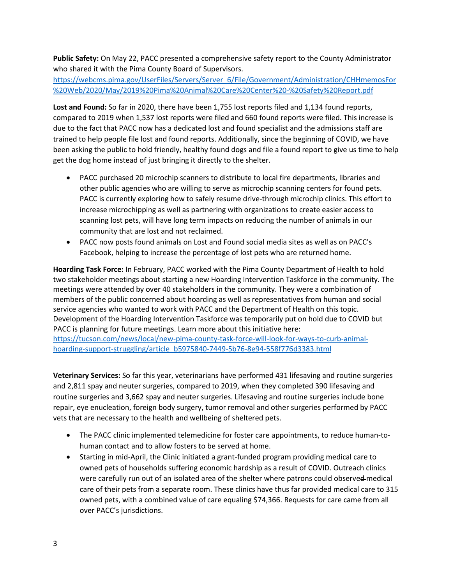**Public Safety:** On May 22, PACC presented a comprehensive safety report to the County Administrator who shared it with the Pima County Board of Supervisors.

[https://webcms.pima.gov/UserFiles/Servers/Server\\_6/File/Government/Administration/CHHmemosFor](https://webcms.pima.gov/UserFiles/Servers/Server_6/File/Government/Administration/CHHmemosFor%20Web/2020/May/2019%20Pima%20Animal%20Care%20Center%20-%20Safety%20Report.pdf) [%20Web/2020/May/2019%20Pima%20Animal%20Care%20Center%20-%20Safety%20Report.pdf](https://webcms.pima.gov/UserFiles/Servers/Server_6/File/Government/Administration/CHHmemosFor%20Web/2020/May/2019%20Pima%20Animal%20Care%20Center%20-%20Safety%20Report.pdf)

**Lost and Found:** So far in 2020, there have been 1,755 lost reports filed and 1,134 found reports, compared to 2019 when 1,537 lost reports were filed and 660 found reports were filed. This increase is due to the fact that PACC now has a dedicated lost and found specialist and the admissions staff are trained to help people file lost and found reports. Additionally, since the beginning of COVID, we have been asking the public to hold friendly, healthy found dogs and file a found report to give us time to help get the dog home instead of just bringing it directly to the shelter.

- PACC purchased 20 microchip scanners to distribute to local fire departments, libraries and other public agencies who are willing to serve as microchip scanning centers for found pets. PACC is currently exploring how to safely resume drive-through microchip clinics. This effort to increase microchipping as well as partnering with organizations to create easier access to scanning lost pets, will have long term impacts on reducing the number of animals in our community that are lost and not reclaimed.
- PACC now posts found animals on Lost and Found social media sites as well as on PACC's Facebook, helping to increase the percentage of lost pets who are returned home.

**Hoarding Task Force:** In February, PACC worked with the Pima County Department of Health to hold two stakeholder meetings about starting a new Hoarding Intervention Taskforce in the community. The meetings were attended by over 40 stakeholders in the community. They were a combination of members of the public concerned about hoarding as well as representatives from human and social service agencies who wanted to work with PACC and the Department of Health on this topic. Development of the Hoarding Intervention Taskforce was temporarily put on hold due to COVID but PACC is planning for future meetings. Learn more about this initiative here: [https://tucson.com/news/local/new-pima-county-task-force-will-look-for-ways-to-curb-animal](https://tucson.com/news/local/new-pima-county-task-force-will-look-for-ways-to-curb-animal-hoarding-support-struggling/article_b5975840-7449-5b76-8e94-558f776d3383.html)[hoarding-support-struggling/article\\_b5975840-7449-5b76-8e94-558f776d3383.html](https://tucson.com/news/local/new-pima-county-task-force-will-look-for-ways-to-curb-animal-hoarding-support-struggling/article_b5975840-7449-5b76-8e94-558f776d3383.html)

**Veterinary Services:** So far this year, veterinarians have performed 431 lifesaving and routine surgeries and 2,811 spay and neuter surgeries, compared to 2019, when they completed 390 lifesaving and routine surgeries and 3,662 spay and neuter surgeries. Lifesaving and routine surgeries include bone repair, eye enucleation, foreign body surgery, tumor removal and other surgeries performed by PACC vets that are necessary to the health and wellbeing of sheltered pets.

- The PACC clinic implemented telemedicine for foster care appointments, to reduce human-tohuman contact and to allow fosters to be served at home.
- Starting in mid-April, the Clinic initiated a grant-funded program providing medical care to owned pets of households suffering economic hardship as a result of COVID. Outreach clinics were carefully run out of an isolated area of the shelter where patrons could observed medical care of their pets from a separate room. These clinics have thus far provided medical care to 315 owned pets, with a combined value of care equaling \$74,366. Requests for care came from all over PACC's jurisdictions.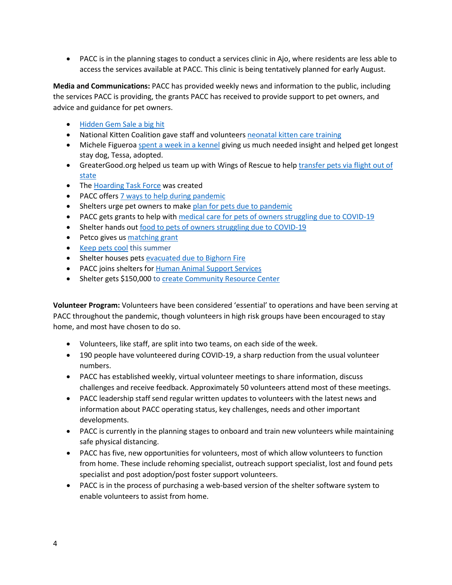• PACC is in the planning stages to conduct a services clinic in Ajo, where residents are less able to access the services available at PACC. This clinic is being tentatively planned for early August.

**Media and Communications:** PACC has provided weekly news and information to the public, including the services PACC is providing, the grants PACC has received to provide support to pet owners, and advice and guidance for pet owners.

- [Hidden Gem Sale a big hit](https://webcms.pima.gov/cms/One.aspx?portalId=169&pageId=524991)
- National Kitten Coalition gave staff and volunteers [neonatal kitten care](https://webcms.pima.gov/cms/One.aspx?portalId=169&pageId=526066) training
- Michele Figuero[a spent a week in a kennel](https://webcms.pima.gov/cms/One.aspx?portalId=169&pageId=528129) giving us much needed insight and helped get longest stay dog, Tessa, adopted.
- GreaterGood.org helped us team up with Wings of Rescue to hel[p transfer pets via flight out of](https://webcms.pima.gov/cms/One.aspx?portalId=169&pageId=529894)  [state](https://webcms.pima.gov/cms/One.aspx?portalId=169&pageId=529894)
- The [Hoarding Task Force](https://webcms.pima.gov/cms/One.aspx?portalId=169&pageId=531227) was created
- PACC offers [7 ways to help during pandemic](https://webcms.pima.gov/cms/One.aspx?portalId=169&pageId=537818)
- Shelters urge pet owners to make [plan for pets due to pandemic](https://webcms.pima.gov/cms/One.aspx?portalId=169&pageId=541350)
- PACC gets grants to help with [medical care for pets of owners struggling due to COVID-19](https://webcms.pima.gov/cms/One.aspx?portalId=169&pageId=571615)
- Shelter hands ou[t food to pets of owners struggling due to COVID-19](https://webcms.pima.gov/cms/One.aspx?portalId=169&pageId=572515)
- Petco gives us [matching grant](https://webcms.pima.gov/cms/One.aspx?portalId=169&pageId=576083)
- [Keep pets cool](https://webcms.pima.gov/cms/One.aspx?portalId=169&pageId=579860) this summer
- Shelter houses pets [evacuated due to Bighorn Fire](https://webcms.pima.gov/cms/One.aspx?portalId=169&pageId=582546)
- PACC joins shelters for [Human Animal Support Services](https://webcms.pima.gov/cms/One.aspx?portalId=169&pageId=583676)
- Shelter gets \$150,000 t[o create Community Resource Center](https://webcms.pima.gov/cms/One.aspx?portalId=169&pageId=587123)

**Volunteer Program:** Volunteers have been considered 'essential' to operations and have been serving at PACC throughout the pandemic, though volunteers in high risk groups have been encouraged to stay home, and most have chosen to do so.

- Volunteers, like staff, are split into two teams, on each side of the week.
- 190 people have volunteered during COVID-19, a sharp reduction from the usual volunteer numbers.
- PACC has established weekly, virtual volunteer meetings to share information, discuss challenges and receive feedback. Approximately 50 volunteers attend most of these meetings.
- PACC leadership staff send regular written updates to volunteers with the latest news and information about PACC operating status, key challenges, needs and other important developments.
- PACC is currently in the planning stages to onboard and train new volunteers while maintaining safe physical distancing.
- PACC has five, new opportunities for volunteers, most of which allow volunteers to function from home. These include rehoming specialist, outreach support specialist, lost and found pets specialist and post adoption/post foster support volunteers.
- PACC is in the process of purchasing a web-based version of the shelter software system to enable volunteers to assist from home.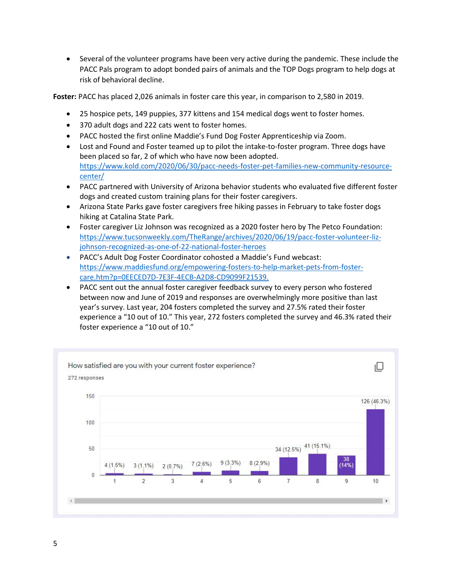• Several of the volunteer programs have been very active during the pandemic. These include the PACC Pals program to adopt bonded pairs of animals and the TOP Dogs program to help dogs at risk of behavioral decline.

**Foster:** PACC has placed 2,026 animals in foster care this year, in comparison to 2,580 in 2019.

- 25 hospice pets, 149 puppies, 377 kittens and 154 medical dogs went to foster homes.
- 370 adult dogs and 222 cats went to foster homes.
- PACC hosted the first online Maddie's Fund Dog Foster Apprenticeship via Zoom.
- Lost and Found and Foster teamed up to pilot the intake-to-foster program. Three dogs have been placed so far, 2 of which who have now been adopted. [https://www.kold.com/2020/06/30/pacc-needs-foster-pet-families-new-community-resource](https://www.kold.com/2020/06/30/pacc-needs-foster-pet-families-new-community-resource-center/)[center/](https://www.kold.com/2020/06/30/pacc-needs-foster-pet-families-new-community-resource-center/)
- PACC partnered with University of Arizona behavior students who evaluated five different foster dogs and created custom training plans for their foster caregivers.
- Arizona State Parks gave foster caregivers free hiking passes in February to take foster dogs hiking at Catalina State Park.
- Foster caregiver Liz Johnson was recognized as a 2020 foster hero by The Petco Foundation: [https://www.tucsonweekly.com/TheRange/archives/2020/06/19/pacc-foster-volunteer-liz](https://www.tucsonweekly.com/TheRange/archives/2020/06/19/pacc-foster-volunteer-liz-johnson-recognized-as-one-of-22-national-foster-heroes)[johnson-recognized-as-one-of-22-national-foster-heroes](https://www.tucsonweekly.com/TheRange/archives/2020/06/19/pacc-foster-volunteer-liz-johnson-recognized-as-one-of-22-national-foster-heroes)
- PACC's Adult Dog Foster Coordinator cohosted a Maddie's Fund webcast: [https://www.maddiesfund.org/empowering-fosters-to-help-market-pets-from-foster](https://www.maddiesfund.org/empowering-fosters-to-help-market-pets-from-foster-care.htm?p=0EECED7D-7E3F-4ECB-A2D8-CD9099F21539)[care.htm?p=0EECED7D-7E3F-4ECB-A2D8-CD9099F21539.](https://www.maddiesfund.org/empowering-fosters-to-help-market-pets-from-foster-care.htm?p=0EECED7D-7E3F-4ECB-A2D8-CD9099F21539)
- PACC sent out the annual foster caregiver feedback survey to every person who fostered between now and June of 2019 and responses are overwhelmingly more positive than last year's survey. Last year, 204 fosters completed the survey and 27.5% rated their foster experience a "10 out of 10." This year, 272 fosters completed the survey and 46.3% rated their foster experience a "10 out of 10."

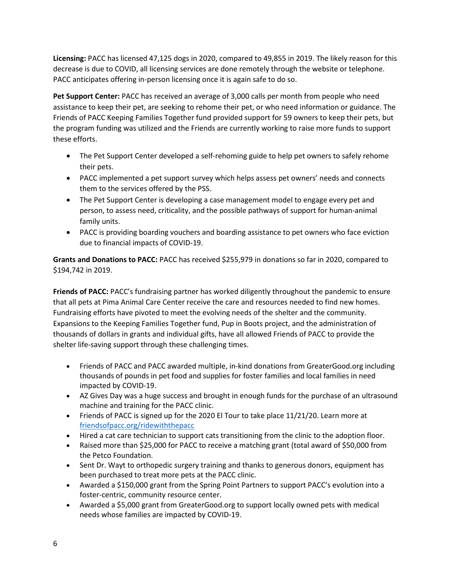**Licensing:** PACC has licensed 47,125 dogs in 2020, compared to 49,855 in 2019. The likely reason for this decrease is due to COVID, all licensing services are done remotely through the website or telephone. PACC anticipates offering in-person licensing once it is again safe to do so.

**Pet Support Center:** PACC has received an average of 3,000 calls per month from people who need assistance to keep their pet, are seeking to rehome their pet, or who need information or guidance. The Friends of PACC Keeping Families Together fund provided support for 59 owners to keep their pets, but the program funding was utilized and the Friends are currently working to raise more funds to support these efforts.

- The Pet Support Center developed a self-rehoming guide to help pet owners to safely rehome their pets.
- PACC implemented a pet support survey which helps assess pet owners' needs and connects them to the services offered by the PSS.
- The Pet Support Center is developing a case management model to engage every pet and person, to assess need, criticality, and the possible pathways of support for human-animal family units.
- PACC is providing boarding vouchers and boarding assistance to pet owners who face eviction due to financial impacts of COVID-19.

**Grants and Donations to PACC:** PACC has received \$255,979 in donations so far in 2020, compared to \$194,742 in 2019.

**Friends of PACC:** PACC's fundraising partner has worked diligently throughout the pandemic to ensure that all pets at Pima Animal Care Center receive the care and resources needed to find new homes. Fundraising efforts have pivoted to meet the evolving needs of the shelter and the community. Expansions to the Keeping Families Together fund, Pup in Boots project, and the administration of thousands of dollars in grants and individual gifts, have all allowed Friends of PACC to provide the shelter life-saving support through these challenging times.

- Friends of PACC and PACC awarded multiple, in-kind donations from GreaterGood.org including thousands of pounds in pet food and supplies for foster families and local families in need impacted by COVID-19.
- AZ Gives Day was a huge success and brought in enough funds for the purchase of an ultrasound machine and training for the PACC clinic.
- Friends of PACC is signed up for the 2020 El Tour to take place 11/21/20. Learn more at [friendsofpacc.org/ridewiththepacc](http://friendsofpacc.org/ridewiththepacc)
- Hired a cat care technician to support cats transitioning from the clinic to the adoption floor.
- Raised more than \$25,000 for PACC to receive a matching grant (total award of \$50,000 from the Petco Foundation.
- Sent Dr. Wayt to orthopedic surgery training and thanks to generous donors, equipment has been purchased to treat more pets at the PACC clinic.
- Awarded a \$150,000 grant from the Spring Point Partners to support PACC's evolution into a foster-centric, community resource center.
- Awarded a \$5,000 grant from GreaterGood.org to support locally owned pets with medical needs whose families are impacted by COVID-19.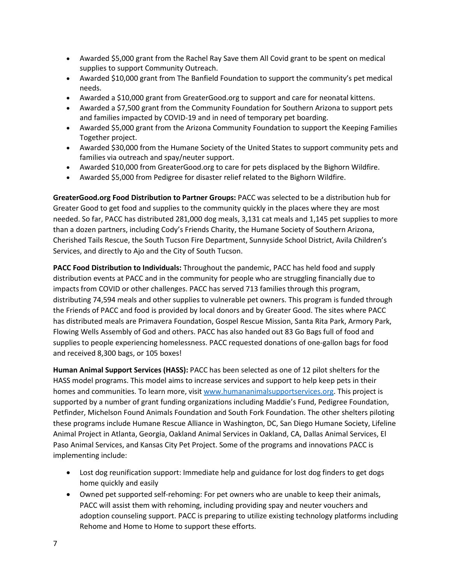- Awarded \$5,000 grant from the Rachel Ray Save them All Covid grant to be spent on medical supplies to support Community Outreach.
- Awarded \$10,000 grant from The Banfield Foundation to support the community's pet medical needs.
- Awarded a \$10,000 grant from GreaterGood.org to support and care for neonatal kittens.
- Awarded a \$7,500 grant from the Community Foundation for Southern Arizona to support pets and families impacted by COVID-19 and in need of temporary pet boarding.
- Awarded \$5,000 grant from the Arizona Community Foundation to support the Keeping Families Together project.
- Awarded \$30,000 from the Humane Society of the United States to support community pets and families via outreach and spay/neuter support.
- Awarded \$10,000 from GreaterGood.org to care for pets displaced by the Bighorn Wildfire.
- Awarded \$5,000 from Pedigree for disaster relief related to the Bighorn Wildfire.

**GreaterGood.org Food Distribution to Partner Groups:** PACC was selected to be a distribution hub for Greater Good to get food and supplies to the community quickly in the places where they are most needed. So far, PACC has distributed 281,000 dog meals, 3,131 cat meals and 1,145 pet supplies to more than a dozen partners, including Cody's Friends Charity, the Humane Society of Southern Arizona, Cherished Tails Rescue, the South Tucson Fire Department, Sunnyside School District, Avila Children's Services, and directly to Ajo and the City of South Tucson.

**PACC Food Distribution to Individuals:** Throughout the pandemic, PACC has held food and supply distribution events at PACC and in the community for people who are struggling financially due to impacts from COVID or other challenges. PACC has served 713 families through this program, distributing 74,594 meals and other supplies to vulnerable pet owners. This program is funded through the Friends of PACC and food is provided by local donors and by Greater Good. The sites where PACC has distributed meals are Primavera Foundation, Gospel Rescue Mission, Santa Rita Park, Armory Park, Flowing Wells Assembly of God and others. PACC has also handed out 83 Go Bags full of food and supplies to people experiencing homelessness. PACC requested donations of one-gallon bags for food and received 8,300 bags, or 105 boxes!

**Human Animal Support Services (HASS):** PACC has been selected as one of 12 pilot shelters for the HASS model programs. This model aims to increase services and support to help keep pets in their homes and communities. To learn more, visit [www.humananimalsupportservices.org.](http://www.humananimalsupportservices.org/) This project is supported by a number of grant funding organizations including Maddie's Fund, Pedigree Foundation, Petfinder, Michelson Found Animals Foundation and South Fork Foundation. The other shelters piloting these programs include Humane Rescue Alliance in Washington, DC, San Diego Humane Society, Lifeline Animal Project in Atlanta, Georgia, Oakland Animal Services in Oakland, CA, Dallas Animal Services, El Paso Animal Services, and Kansas City Pet Project. Some of the programs and innovations PACC is implementing include:

- Lost dog reunification support: Immediate help and guidance for lost dog finders to get dogs home quickly and easily
- Owned pet supported self-rehoming: For pet owners who are unable to keep their animals, PACC will assist them with rehoming, including providing spay and neuter vouchers and adoption counseling support. PACC is preparing to utilize existing technology platforms including Rehome and Home to Home to support these efforts.